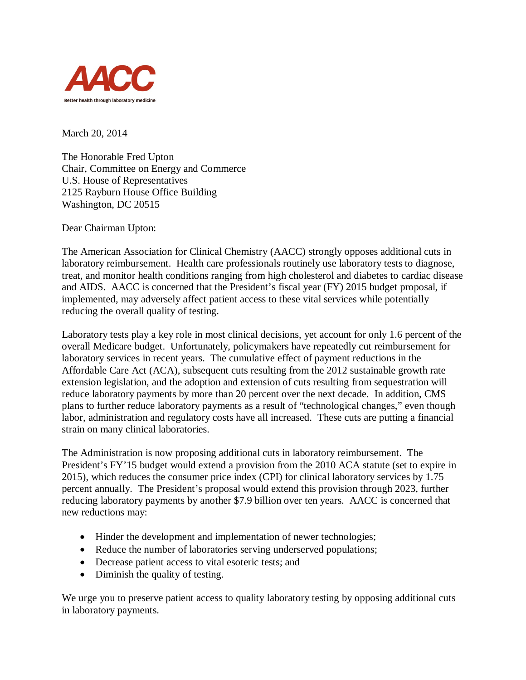

March 20, 2014

The Honorable Fred Upton Chair, Committee on Energy and Commerce U.S. House of Representatives 2125 Rayburn House Office Building Washington, DC 20515

Dear Chairman Upton:

The American Association for Clinical Chemistry (AACC) strongly opposes additional cuts in laboratory reimbursement. Health care professionals routinely use laboratory tests to diagnose, treat, and monitor health conditions ranging from high cholesterol and diabetes to cardiac disease and AIDS. AACC is concerned that the President's fiscal year (FY) 2015 budget proposal, if implemented, may adversely affect patient access to these vital services while potentially reducing the overall quality of testing.

Laboratory tests play a key role in most clinical decisions, yet account for only 1.6 percent of the overall Medicare budget. Unfortunately, policymakers have repeatedly cut reimbursement for laboratory services in recent years. The cumulative effect of payment reductions in the Affordable Care Act (ACA), subsequent cuts resulting from the 2012 sustainable growth rate extension legislation, and the adoption and extension of cuts resulting from sequestration will reduce laboratory payments by more than 20 percent over the next decade. In addition, CMS plans to further reduce laboratory payments as a result of "technological changes," even though labor, administration and regulatory costs have all increased. These cuts are putting a financial strain on many clinical laboratories.

The Administration is now proposing additional cuts in laboratory reimbursement. The President's FY'15 budget would extend a provision from the 2010 ACA statute (set to expire in 2015), which reduces the consumer price index (CPI) for clinical laboratory services by 1.75 percent annually. The President's proposal would extend this provision through 2023, further reducing laboratory payments by another \$7.9 billion over ten years. AACC is concerned that new reductions may:

- Hinder the development and implementation of newer technologies;
- Reduce the number of laboratories serving underserved populations;
- Decrease patient access to vital esoteric tests; and
- Diminish the quality of testing.

We urge you to preserve patient access to quality laboratory testing by opposing additional cuts in laboratory payments.